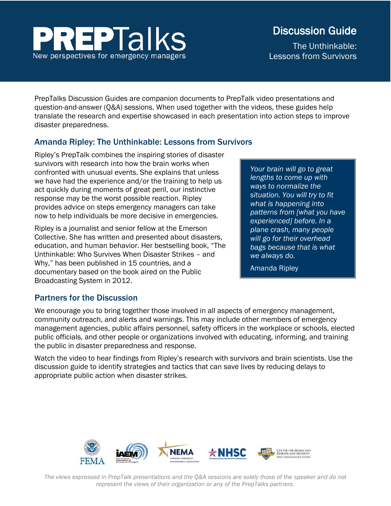# **EPTalks** New perspectives for emergency managers

# Discussion Guide

The Unthinkable: Lessons from Survivors

PrepTalks Discussion Guides are companion documents to PrepTalk video presentations and question-and-answer (Q&A) sessions. When used together with the videos, these guides help translate the research and expertise showcased in each presentation into action steps to improve disaster preparedness.

# Amanda Ripley: The Unthinkable: Lessons from Survivors

Ripley's PrepTalk combines the inspiring stories of disaster survivors with research into how the brain works when confronted with unusual events. She explains that unless we have had the experience and/or the training to help us act quickly during moments of great peril, our instinctive response may be the worst possible reaction. Ripley provides advice on steps emergency managers can take now to help individuals be more decisive in emergencies.

Ripley is a journalist and senior fellow at the Emerson Collective. She has written and presented about disasters, education, and human behavior. Her bestselling book, "The Unthinkable: Who Survives When Disaster Strikes – and Why," has been published in 15 countries, and a documentary based on the book aired on the Public Broadcasting System in 2012.

*Your brain will go to great lengths to come up with ways to normalize the situation. You will try to fit what is happening into patterns from [what you have experienced] before. In a plane crash, many people will go for their overhead bags because that is what we always do.*

Amanda Ripley

# Partners for the Discussion

We encourage you to bring together those involved in all aspects of emergency management, community outreach, and alerts and warnings. This may include other members of emergency management agencies, public affairs personnel, safety officers in the workplace or schools, elected public officials, and other people or organizations involved with educating, informing, and training the public in disaster preparedness and response.

Watch the video to hear findings from Ripley's research with survivors and brain scientists. Use the discussion guide to identify strategies and tactics that can save lives by reducing delays to appropriate public action when disaster strikes.



*The views expressed in PrepTalk presentations and the Q&A sessions are solely those of the speaker and do not represent the views of their organization or any of the PrepTalks partners*.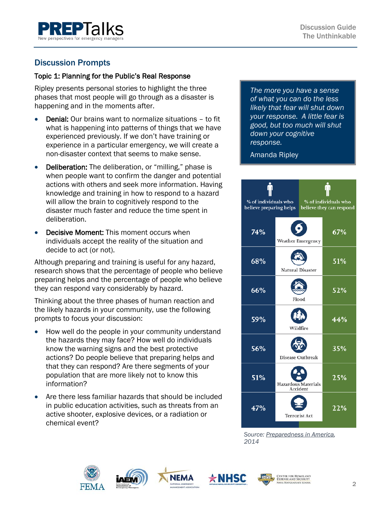

## Discussion Prompts

#### Topic 1: Planning for the Public's Real Response

Ripley presents personal stories to highlight the three phases that most people will go through as a disaster is happening and in the moments after.

- **Denial:** Our brains want to normalize situations to fit what is happening into patterns of things that we have experienced previously. If we don't have training or experience in a particular emergency, we will create a non-disaster context that seems to make sense.
- Deliberation: The deliberation, or "milling," phase is when people want to confirm the danger and potential actions with others and seek more information. Having knowledge and training in how to respond to a hazard will allow the brain to cognitively respond to the disaster much faster and reduce the time spent in deliberation.
- **Decisive Moment: This moment occurs when** individuals accept the reality of the situation and decide to act (or not).

Although preparing and training is useful for any hazard, research shows that the percentage of people who believe preparing helps and the percentage of people who believe they can respond vary considerably by hazard.

Thinking about the three phases of human reaction and the likely hazards in your community, use the following prompts to focus your discussion:

- How well do the people in your community understand the hazards they may face? How well do individuals know the warning signs and the best protective actions? Do people believe that preparing helps and that they can respond? Are there segments of your population that are more likely not to know this information?
- Are there less familiar hazards that should be included in public education activities, such as threats from an active shooter, explosive devices, or a radiation or chemical event?

*The more you have a sense of what you can do the less likely that fear will shut down your response. A little fear is good, but too much will shut down your cognitive response.* 

#### Amanda Ripley



*[Source: Preparedness in America,](https://www.fema.gov/media-library-data/1409000888026-1e8abc820153a6c8cde24ce42c16e857/20140825_Preparedness%20in%20America_August%202014%20Update_508.pdf) 2014*







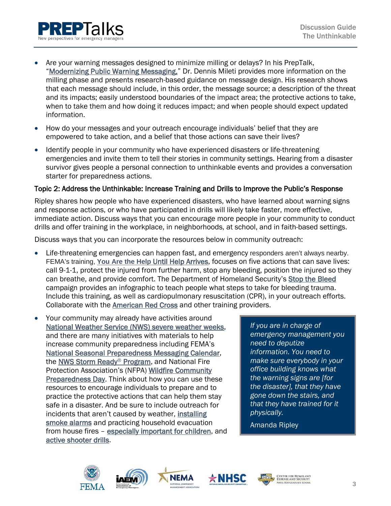

- How do your messages and your outreach encourage individuals' belief that they are empowered to take action, and a belief that those actions can save their lives?
- Identify people in your community who have experienced disasters or life-threatening emergencies and invite them to tell their stories in community settings. Hearing from a disaster survivor gives people a personal connection to unthinkable events and provides a conversation starter for preparedness actions.

#### Topic 2: Address the Unthinkable: Increase Training and Drills to Improve the Public's Response

Ripley shares how people who have experienced disasters, who have learned about warning signs and response actions, or who have participated in drills will likely take faster, more effective, immediate action. Discuss ways that you can encourage more people in your community to conduct drills and offer training in the workplace, in neighborhoods, at school, and in faith-based settings.

Discuss ways that you can incorporate the resources below in community outreach:

- Life-threatening emergencies can happen fast, and emergency responders aren't always nearby. FEMA's training, **You Are the Help** [Until Help Arrives,](https://community.fema.gov/until-help-arrives) focuses on five actions that can save lives: call 9-1-1, protect the injured from further harm, stop any bleeding, position the injured so they can breathe, and provide comfort. The Department of Homeland Security's [Stop the Bleed](https://www.dhs.gov/stopthebleed) campaign provides an infographic to teach people what steps to take for bleeding trauma. Include this training, as well as cardiopulmonary resuscitation (CPR), in your outreach efforts. Collaborate with the [American Red Cross](https://www.redcross.org/take-a-class) and other training providers.
- Your community may already have activities around [National Weather Service \(NWS\) severe weather weeks,](http://www.nws.noaa.gov/om/severeweather/severewxcal.shtml) and there are many initiatives with materials to help increase community preparedness including FEMA's [National Seasonal Preparedness Messaging Calendar,](https://www.ready.gov/calendar) the [NWS Storm Ready®](https://www.weather.gov/stormready/) Program, and National Fire Protection Association's (NFPA) [Wildfire Community](https://www.nfpa.org/public-education/campaigns/national-wildfire-community-preparedness-day)  [Preparedness Day.](https://www.nfpa.org/public-education/campaigns/national-wildfire-community-preparedness-day) Think about how you can use these resources to encourage individuals to prepare and to practice the protective actions that can help them stay safe in a disaster. And be sure to include outreach for incidents that aren't caused by weather, [installing](https://www.redcross.org/sound-the-alarm)  [smoke alarms](https://www.redcross.org/sound-the-alarm) and practicing household evacuation from house fires - [especially important for children,](http://minnesota.cbslocal.com/2016/02/22/do-your-kids-know-how-to-react-to-a-smoke-alarm) and [active shooter drills.](https://www.dhs.gov/active-shooter-preparedness)

*If you are in charge of emergency management you need to deputize information. You need to make sure everybody in your office building knows what the warning signs are [for the disaster], that they have gone down the stairs, and that they have trained for it physically.*

Amanda Ripley





**NEMA** 



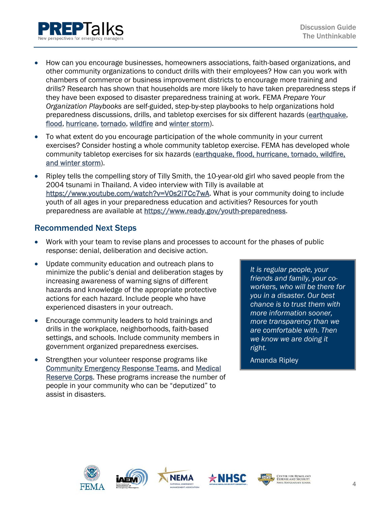

- How can you encourage businesses, homeowners associations, faith-based organizations, and other community organizations to conduct drills with their employees? How can you work with chambers of commerce or business improvement districts to encourage more training and drills? Research has shown that households are more likely to have taken preparedness steps if they have been exposed to disaster preparedness training at work. FEMA *Prepare Your Organization Playbooks* are self-guided, step-by-step playbooks to help organizations hold preparedness discussions, drills, and tabletop exercises for six different hazards [\(earthquake,](https://www.fema.gov/media-library-data/1409865580490-e83e2d1b906d35cc766477cb9459ca0e/prepareathon_playbook_earthquakes_final_090414_508a.pdf) [flood,](https://www.fema.gov/media-library/assets/documents/98407) [hurricane,](https://www.fema.gov/media-library-data/1409933369110-5d82e4e75ba272f6cefd656ff190c422/prepareathon_playbook_hurricane_final_090414_508.pdf) [tornado,](https://www.fema.gov/media-library-data/1409936139924-14f8f593c82cf0ee0384701252b30995/prepareathon_playbook_tornado_final_090414_508.pdf) [wildfire](https://www.fema.gov/media-library-data/1409937019793-e22ea047bb7d748194b5e1cf96f31d9a/prepareathon_playbook_wildfire_final_090414_508.pdf) and [winter storm\)](https://www.fema.gov/media-library-data/1409866131999-cd67474088f6e1eef8997242f261ed1a/prepareathon_playbook_winter_storms_final_090414_508a.pdf).
- To what extent do you encourage participation of the whole community in your current exercises? Consider hosting a whole community tabletop exercise. FEMA has developed whole community tabletop exercises for six hazards (earthquake, flood, hurricane, tornado, wildfire, [and winter storm\)](https://www.fema.gov/media-library/assets/documents/100098).
- Ripley tells the compelling story of Tilly Smith, the 10-year-old girl who saved people from the 2004 tsunami in Thailand. A video interview with Tilly is available at [https://www.youtube.com/watch?v=V0s2i7Cc7wA.](https://www.youtube.com/watch?v=V0s2i7Cc7wA) What is your community doing to include youth of all ages in your preparedness education and activities? Resources for youth preparedness are available at [https://www.ready.gov/youth-preparedness.](https://www.ready.gov/youth-preparedness)

#### Recommended Next Steps

- Work with your team to revise plans and processes to account for the phases of public response: denial, deliberation and decisive action.
- Update community education and outreach plans to minimize the public's denial and deliberation stages by increasing awareness of warning signs of different hazards and knowledge of the appropriate protective actions for each hazard. Include people who have experienced disasters in your outreach.
- Encourage community leaders to hold trainings and drills in the workplace, neighborhoods, faith-based settings, and schools. Include community members in government organized preparedness exercises.
- Strengthen your volunteer response programs like [Community Emergency Response Teams,](https://www.ready.gov/community-emergency-response-team) and [Medical](https://mrc.hhs.gov/HomePage)  [Reserve Corps.](https://mrc.hhs.gov/HomePage) These programs increase the number of people in your community who can be "deputized" to assist in disasters.

*It is regular people, your friends and family, your coworkers, who will be there for you in a disaster. Our best chance is to trust them with more information sooner, more transparency than we are comfortable with. Then we know we are doing it right.* 

Amanda Ripley